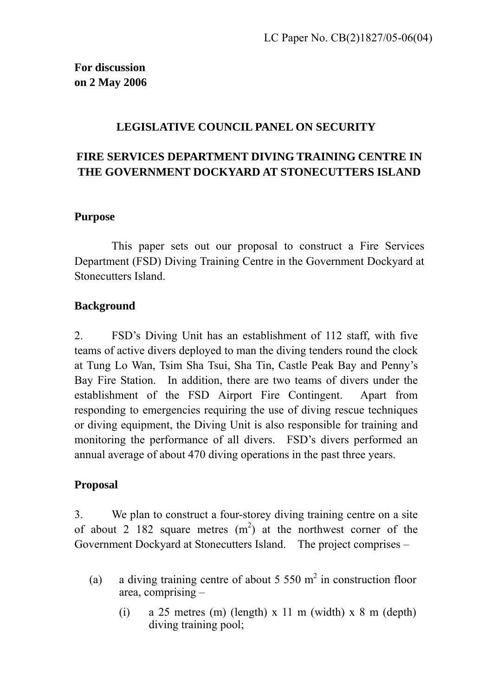## **LEGISLATIVE COUNCIL PANEL ON SECURITY**

## **FIRE SERVICES DEPARTMENT DIVING TRAINING CENTRE IN THE GOVERNMENT DOCKYARD AT STONECUTTERS ISLAND**

#### **Purpose**

 This paper sets out our proposal to construct a Fire Services Department (FSD) Diving Training Centre in the Government Dockyard at Stonecutters Island.

## **Background**

2. FSD's Diving Unit has an establishment of 112 staff, with five teams of active divers deployed to man the diving tenders round the clock at Tung Lo Wan, Tsim Sha Tsui, Sha Tin, Castle Peak Bay and Penny's Bay Fire Station. In addition, there are two teams of divers under the establishment of the FSD Airport Fire Contingent. Apart from responding to emergencies requiring the use of diving rescue techniques or diving equipment, the Diving Unit is also responsible for training and monitoring the performance of all divers. FSD's divers performed an annual average of about 470 diving operations in the past three years.

## **Proposal**

3. We plan to construct a four-storey diving training centre on a site of about 2 182 square metres  $(m<sup>2</sup>)$  at the northwest corner of the Government Dockyard at Stonecutters Island. The project comprises –

- (a) a diving training centre of about 5 550  $m^2$  in construction floor area, comprising –
	- (i) a 25 metres (m) (length) x 11 m (width) x 8 m (depth) diving training pool;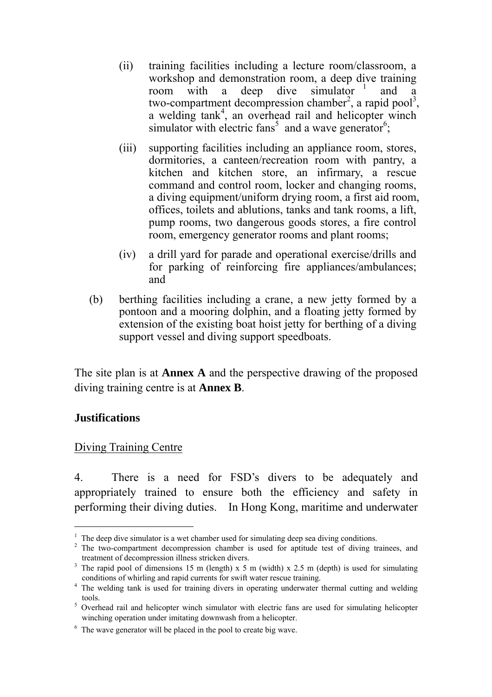- (ii) training facilities including a lecture room/classroom, a workshop and demonstration room, a deep dive training room with a deep dive simulator  $\frac{1}{1}$  and a room with a deep dive simulator  $\frac{1}{1}$  and a two-compartment decompression chamber<sup>2</sup>, a rapid pool<sup>3</sup>, a welding tank<sup>4</sup>, an overhead rail and helicopter winch simulator with electric fans<sup>5</sup> and a wave generator<sup>6</sup>;
- (iii) supporting facilities including an appliance room, stores, dormitories, a canteen/recreation room with pantry, a kitchen and kitchen store, an infirmary, a rescue command and control room, locker and changing rooms, a diving equipment/uniform drying room, a first aid room, offices, toilets and ablutions, tanks and tank rooms, a lift, pump rooms, two dangerous goods stores, a fire control room, emergency generator rooms and plant rooms;
- (iv) a drill yard for parade and operational exercise/drills and for parking of reinforcing fire appliances/ambulances; and
- (b) berthing facilities including a crane, a new jetty formed by a pontoon and a mooring dolphin, and a floating jetty formed by extension of the existing boat hoist jetty for berthing of a diving support vessel and diving support speedboats.

The site plan is at **Annex A** and the perspective drawing of the proposed diving training centre is at **Annex B**.

## **Justifications**

 $\overline{a}$ 

#### Diving Training Centre

4. There is a need for FSD's divers to be adequately and appropriately trained to ensure both the efficiency and safety in performing their diving duties. In Hong Kong, maritime and underwater

 $<sup>1</sup>$  The deep dive simulator is a wet chamber used for simulating deep sea diving conditions.</sup>

 $2$  The two-compartment decompression chamber is used for aptitude test of diving trainees, and treatment of decompression illness stricken divers.

<sup>&</sup>lt;sup>3</sup> The rapid pool of dimensions 15 m (length) x 5 m (width) x 2.5 m (depth) is used for simulating conditions of whirling and rapid currents for swift water rescue training. 4

<sup>&</sup>lt;sup>4</sup> The welding tank is used for training divers in operating underwater thermal cutting and welding

tools.<br><sup>5</sup> Overhead rail and helicopter winch simulator with electric fans are used for simulating helicopter winching operation under imitating downwash from a helicopter.

<sup>&</sup>lt;sup>6</sup> The wave generator will be placed in the pool to create big wave.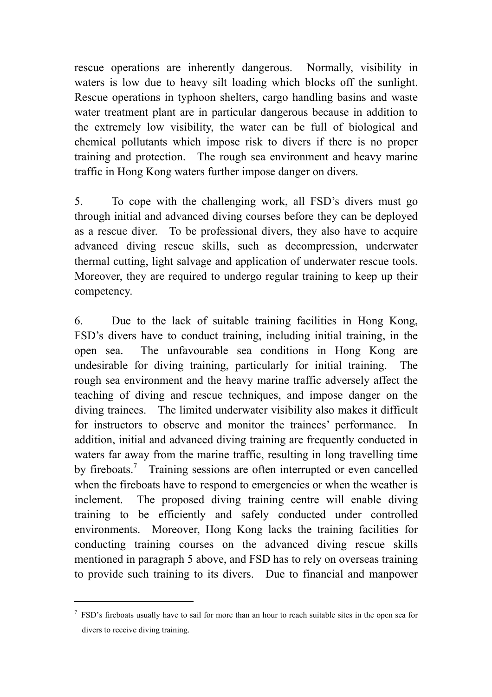rescue operations are inherently dangerous. Normally, visibility in waters is low due to heavy silt loading which blocks off the sunlight. Rescue operations in typhoon shelters, cargo handling basins and waste water treatment plant are in particular dangerous because in addition to the extremely low visibility, the water can be full of biological and chemical pollutants which impose risk to divers if there is no proper training and protection. The rough sea environment and heavy marine traffic in Hong Kong waters further impose danger on divers.

5. To cope with the challenging work, all FSD's divers must go through initial and advanced diving courses before they can be deployed as a rescue diver. To be professional divers, they also have to acquire advanced diving rescue skills, such as decompression, underwater thermal cutting, light salvage and application of underwater rescue tools. Moreover, they are required to undergo regular training to keep up their competency.

6. Due to the lack of suitable training facilities in Hong Kong, FSD's divers have to conduct training, including initial training, in the open sea. The unfavourable sea conditions in Hong Kong are undesirable for diving training, particularly for initial training. The rough sea environment and the heavy marine traffic adversely affect the teaching of diving and rescue techniques, and impose danger on the diving trainees. The limited underwater visibility also makes it difficult for instructors to observe and monitor the trainees' performance. In addition, initial and advanced diving training are frequently conducted in waters far away from the marine traffic, resulting in long travelling time by fireboats.<sup>7</sup> Training sessions are often interrupted or even cancelled when the fireboats have to respond to emergencies or when the weather is inclement. The proposed diving training centre will enable diving training to be efficiently and safely conducted under controlled environments. Moreover, Hong Kong lacks the training facilities for conducting training courses on the advanced diving rescue skills mentioned in paragraph 5 above, and FSD has to rely on overseas training to provide such training to its divers. Due to financial and manpower

 $\overline{a}$ 

 $7$  FSD's fireboats usually have to sail for more than an hour to reach suitable sites in the open sea for divers to receive diving training.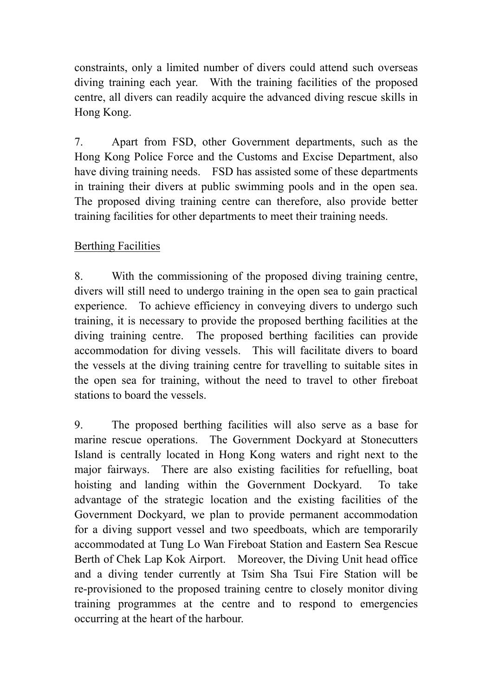constraints, only a limited number of divers could attend such overseas diving training each year. With the training facilities of the proposed centre, all divers can readily acquire the advanced diving rescue skills in Hong Kong.

7. Apart from FSD, other Government departments, such as the Hong Kong Police Force and the Customs and Excise Department, also have diving training needs. FSD has assisted some of these departments in training their divers at public swimming pools and in the open sea. The proposed diving training centre can therefore, also provide better training facilities for other departments to meet their training needs.

## Berthing Facilities

8. With the commissioning of the proposed diving training centre, divers will still need to undergo training in the open sea to gain practical experience. To achieve efficiency in conveying divers to undergo such training, it is necessary to provide the proposed berthing facilities at the diving training centre. The proposed berthing facilities can provide accommodation for diving vessels. This will facilitate divers to board the vessels at the diving training centre for travelling to suitable sites in the open sea for training, without the need to travel to other fireboat stations to board the vessels.

9. The proposed berthing facilities will also serve as a base for marine rescue operations. The Government Dockyard at Stonecutters Island is centrally located in Hong Kong waters and right next to the major fairways. There are also existing facilities for refuelling, boat hoisting and landing within the Government Dockyard. To take advantage of the strategic location and the existing facilities of the Government Dockyard, we plan to provide permanent accommodation for a diving support vessel and two speedboats, which are temporarily accommodated at Tung Lo Wan Fireboat Station and Eastern Sea Rescue Berth of Chek Lap Kok Airport. Moreover, the Diving Unit head office and a diving tender currently at Tsim Sha Tsui Fire Station will be re-provisioned to the proposed training centre to closely monitor diving training programmes at the centre and to respond to emergencies occurring at the heart of the harbour.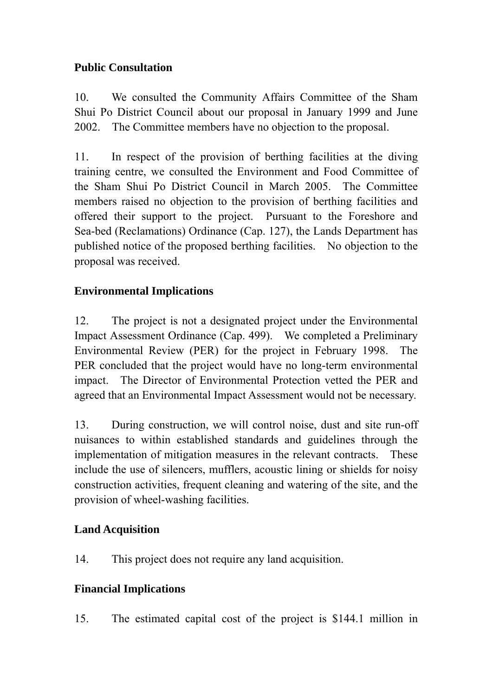## **Public Consultation**

10. We consulted the Community Affairs Committee of the Sham Shui Po District Council about our proposal in January 1999 and June 2002. The Committee members have no objection to the proposal.

11. In respect of the provision of berthing facilities at the diving training centre, we consulted the Environment and Food Committee of the Sham Shui Po District Council in March 2005. The Committee members raised no objection to the provision of berthing facilities and offered their support to the project. Pursuant to the Foreshore and Sea-bed (Reclamations) Ordinance (Cap. 127), the Lands Department has published notice of the proposed berthing facilities. No objection to the proposal was received.

## **Environmental Implications**

12. The project is not a designated project under the Environmental Impact Assessment Ordinance (Cap. 499). We completed a Preliminary Environmental Review (PER) for the project in February 1998. The PER concluded that the project would have no long-term environmental impact. The Director of Environmental Protection vetted the PER and agreed that an Environmental Impact Assessment would not be necessary.

13. During construction, we will control noise, dust and site run-off nuisances to within established standards and guidelines through the implementation of mitigation measures in the relevant contracts. These include the use of silencers, mufflers, acoustic lining or shields for noisy construction activities, frequent cleaning and watering of the site, and the provision of wheel-washing facilities.

## **Land Acquisition**

14. This project does not require any land acquisition.

## **Financial Implications**

15. The estimated capital cost of the project is \$144.1 million in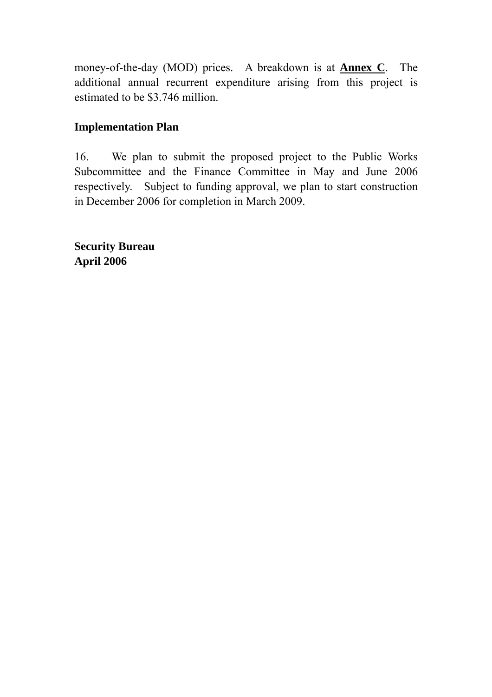money-of-the-day (MOD) prices. A breakdown is at **Annex C**. The additional annual recurrent expenditure arising from this project is estimated to be \$3.746 million.

## **Implementation Plan**

16. We plan to submit the proposed project to the Public Works Subcommittee and the Finance Committee in May and June 2006 respectively. Subject to funding approval, we plan to start construction in December 2006 for completion in March 2009.

**Security Bureau April 2006**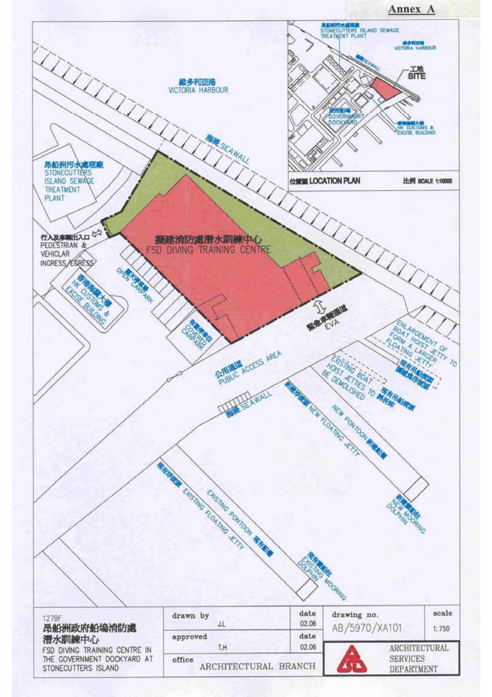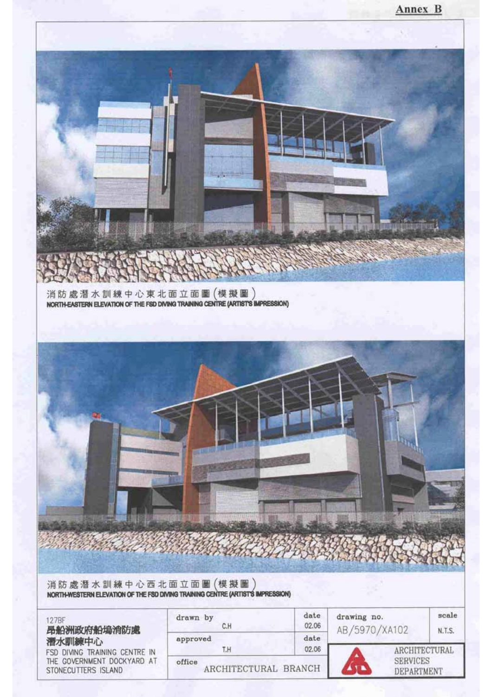



消防處潛水訓練中心西北面立面圖(模擬圖)<br>NORTH-WESTERN ELEVATION OF THE FSD DIVING TRAINING CENTRE (ARTIST'S IMPRESSION)

| 127BF<br>昂船洲政府船塢消防處<br>潛水訓練中心<br>FSD DIVING TRAINING CENTRE IN<br>THE GOVERNMENT DOCKYARD AT<br>STONECUTTERS ISLAND | drawn by<br>C.H                | date<br>02.06 | drawing no.<br>AB/5970/XA102         | scale<br><b>N.T.S.</b> |
|---------------------------------------------------------------------------------------------------------------------|--------------------------------|---------------|--------------------------------------|------------------------|
|                                                                                                                     | approved<br>T.H                | date<br>02.06 |                                      | ARCHITECTURAL          |
|                                                                                                                     | office<br>ARCHITECTURAL BRANCH |               | <b>SERVICES</b><br><b>DEPARTMENT</b> |                        |